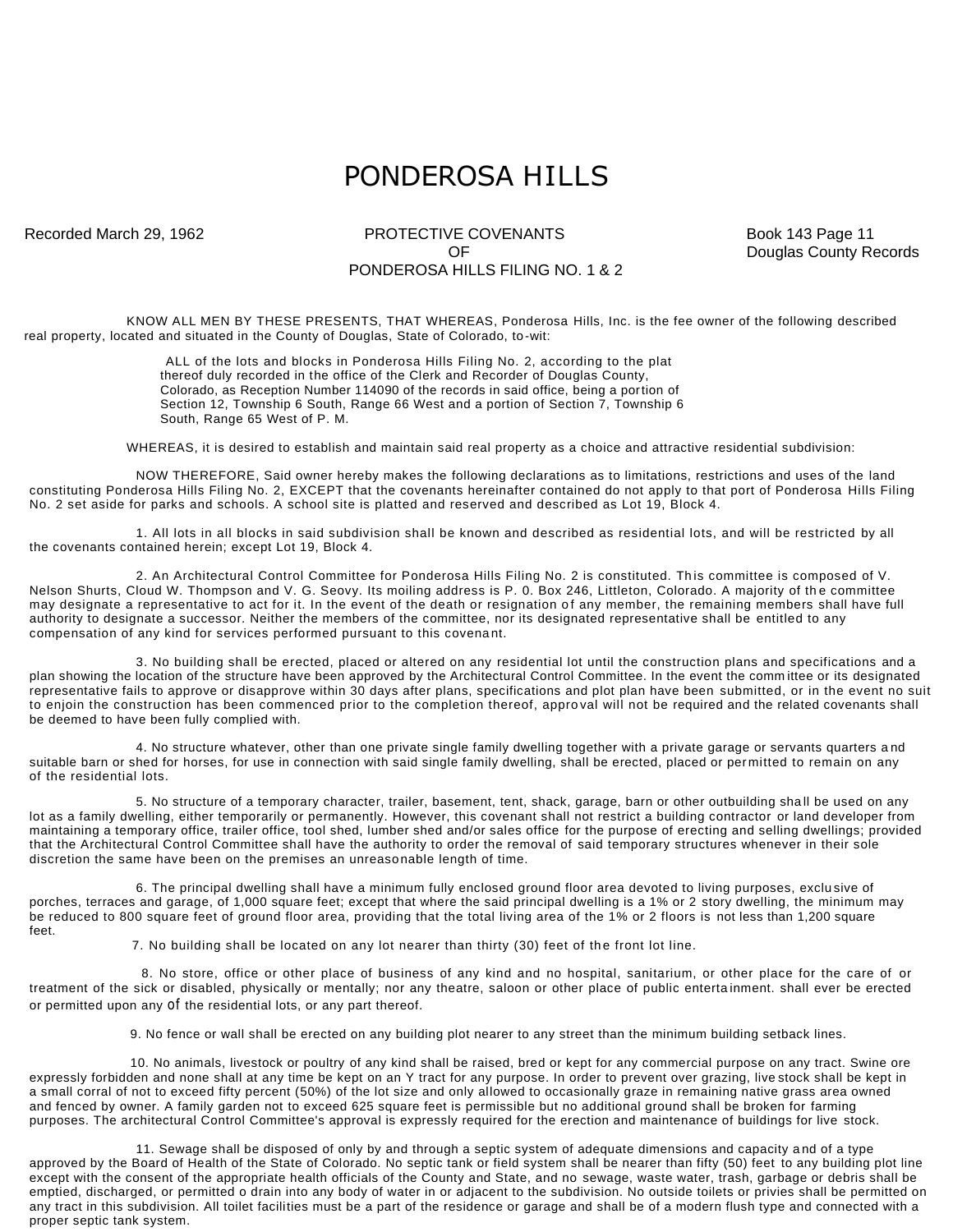## PONDEROSA HILLS

## Recorded March 29, 1962 **PROTECTIVE COVENANTS** Book 143 Page 11 PONDEROSA HILLS FILING NO. 1 & 2

OF Douglas County Records

KNOW ALL MEN BY THESE PRESENTS, THAT WHEREAS, Ponderosa Hills, Inc. is the fee owner of the following described real property, located and situated in the County of Douglas, State of Colorado, to -wit:

> ALL of the lots and blocks in Ponderosa Hills Filing No. 2, according to the plat thereof duly recorded in the office of the Clerk and Recorder of Douglas County, Colorado, as Reception Number 114090 of the records in said office, being a portion of Section 12, Township 6 South, Range 66 West and a portion of Section 7, Township 6 South, Range 65 West of P. M.

WHEREAS, it is desired to establish and maintain said real property as a choice and attractive residential subdivision:

NOW THEREFORE, Said owner hereby makes the following declarations as to limitations, restrictions and uses of the land constituting Ponderosa Hills Filing No. 2, EXCEPT that the covenants hereinafter contained do not apply to that port of Ponderosa Hills Filing No. 2 set aside for parks and schools. A school site is platted and reserved and described as Lot 19, Block 4.

1. All lots in all blocks in said subdivision shall be known and described as residential lots, and will be restricted by all the covenants contained herein; except Lot 19, Block 4.

2. An Architectural Control Committee for Ponderosa Hills Filing No. 2 is constituted. Th is committee is composed of V. Nelson Shurts, Cloud W. Thompson and V. G. Seovy. Its moiling address is P. 0. Box 246, Littleton, Colorado. A majority of the committee may designate a representative to act for it. In the event of the death or resignation of any member, the remaining members shall have full authority to designate a successor. Neither the members of the committee, nor its designated representative shall be entitled to any compensation of any kind for services performed pursuant to this covena nt.

3. No building shall be erected, placed or altered on any residential lot until the construction plans and specifications and a plan showing the location of the structure have been approved by the Architectural Control Committee. In the event the comm ittee or its designated representative fails to approve or disapprove within 30 days after plans, specifications and plot plan have been submitted, or in the event no suit to enjoin the construction has been commenced prior to the completion thereof, appro val will not be required and the related covenants shall be deemed to have been fully complied with.

4. No structure whatever, other than one private single family dwelling together with a private garage or servants quarters a nd suitable barn or shed for horses, for use in connection with said single family dwelling, shall be erected, placed or permitted to remain on any of the residential lots.

5. No structure of a temporary character, trailer, basement, tent, shack, garage, barn or other outbuilding sha ll be used on any lot as a family dwelling, either temporarily or permanently. However, this covenant shall not restrict a building contractor or land developer from maintaining a temporary office, trailer office, tool shed, lumber shed and/or sales office for the purpose of erecting and selling dwellings; provided that the Architectural Control Committee shall have the authority to order the removal of said temporary structures whenever in their sole discretion the same have been on the premises an unreasonable length of time.

6. The principal dwelling shall have a minimum fully enclosed ground floor area devoted to living purposes, exclu sive of porches, terraces and garage, of 1,000 square feet; except that where the said principal dwelling is a 1% or 2 story dwelling, the minimum may be reduced to 800 square feet of ground floor area, providing that the total living area of the 1% or 2 floors is not less than 1,200 square feet.

7. No building shall be located on any lot nearer than thirty (30) feet of the front lot line.

8. No store, office or other place of business of any kind and no hospital, sanitarium, or other place for the care of or treatment of the sick or disabled, physically or mentally; nor any theatre, saloon or other place of public enterta inment. shall ever be erected or permitted upon any of the residential lots, or any part thereof.

9. No fence or wall shall be erected on any building plot nearer to any street than the minimum building setback lines.

10. No animals, livestock or poultry of any kind shall be raised, bred or kept for any commercial purpose on any tract. Swine ore expressly forbidden and none shall at any time be kept on an Y tract for any purpose. In order to prevent over grazing, live stock shall be kept in a small corral of not to exceed fifty percent (50%) of the lot size and only allowed to occasionally graze in remaining native grass area owned and fenced by owner. A family garden not to exceed 625 square feet is permissible but no additional ground shall be broken for farming purposes. The architectural Control Committee's approval is expressly required for the erection and maintenance of buildings for live stock.

11. Sewage shall be disposed of only by and through a septic system of adequate dimensions and capacity a nd of a type approved by the Board of Health of the State of Colorado. No septic tank or field system shall be nearer than fifty (50) feet to any building plot line except with the consent of the appropriate health officials of the County and State, and no sewage, waste water, trash, garbage or debris shall be emptied, discharged, or permitted o drain into any body of water in or adjacent to the subdivision. No outside toilets or privies shall be permitted on any tract in this subdivision. All toilet facilities must be a part of the residence or garage and shall be of a modern flush type and connected with a proper septic tank system.